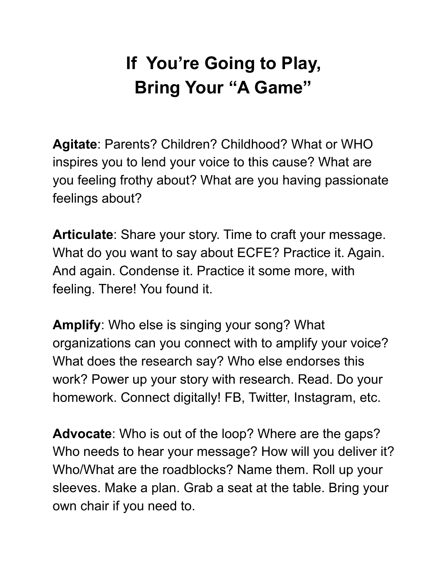## **If You're Going to Play, Bring Your "A Game"**

**Agitate**: Parents? Children? Childhood? What or WHO inspires you to lend your voice to this cause? What are you feeling frothy about? What are you having passionate feelings about?

**Articulate**: Share your story. Time to craft your message. What do you want to say about ECFE? Practice it. Again. And again. Condense it. Practice it some more, with feeling. There! You found it.

**Amplify**: Who else is singing your song? What organizations can you connect with to amplify your voice? What does the research say? Who else endorses this work? Power up your story with research. Read. Do your homework. Connect digitally! FB, Twitter, Instagram, etc.

**Advocate**: Who is out of the loop? Where are the gaps? Who needs to hear your message? How will you deliver it? Who/What are the roadblocks? Name them. Roll up your sleeves. Make a plan. Grab a seat at the table. Bring your own chair if you need to.